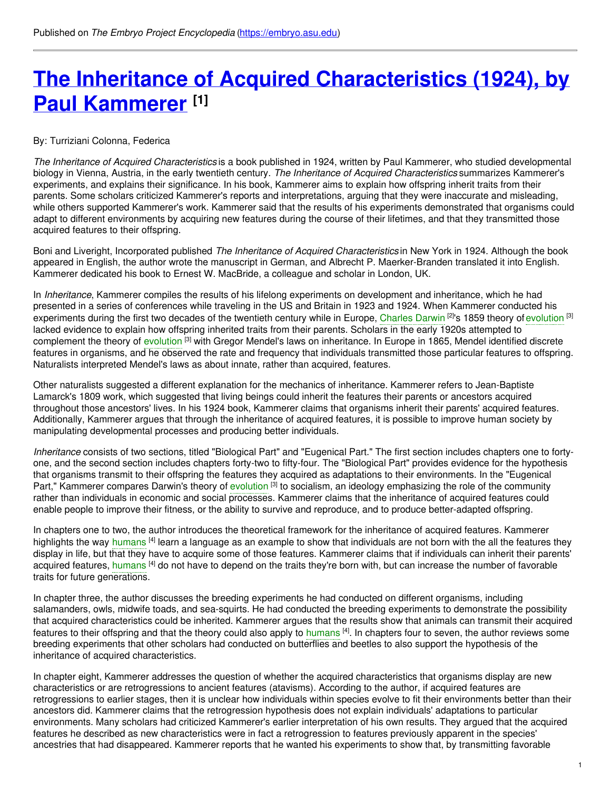# **The Inheritance of Acquired [Characteristics](https://embryo.asu.edu/pages/inheritance-acquired-characteristics-1924-paul-kammerer) (1924), by Paul Kammerer [1]**

#### By: Turriziani Colonna, Federica

*The Inheritance of Acquired Characteristics* is a book published in 1924, written by Paul Kammerer, who studied developmental biology in Vienna, Austria, in the early twentieth century. *The Inheritance of Acquired Characteristics* summarizes Kammerer's experiments, and explains their significance. In his book, Kammerer aims to explain how offspring inherit traits from their parents. Some scholars criticized Kammerer's reports and interpretations, arguing that they were inaccurate and misleading, while others supported Kammerer's work. Kammerer said that the results of his experiments demonstrated that organisms could adapt to different environments by acquiring new features during the course of their lifetimes, and that they transmitted those acquired features to their offspring.

Boni and Liveright, Incorporated published *The Inheritance of Acquired Characteristics* in New York in 1924. Although the book appeared in English, the author wrote the manuscript in German, and Albrecht P. Maerker-Branden translated it into English. Kammerer dedicated his book to Ernest W. MacBride, a colleague and scholar in London, UK.

In *Inheritance*, Kammerer compiles the results of his lifelong experiments on development and inheritance, which he had presented in a series of conferences while traveling in the US and Britain in 1923 and 1924. When Kammerer conducted his experiments during the first two decades of the twentieth century while in Europe, [Charles](https://embryo.asu.edu/search?text=Charles%20Darwin) Darwin <sup>[2]</sup>'s 1859 theory of [evolution](https://embryo.asu.edu/search?text=evolution) <sup>[3]</sup> lacked evidence to explain how offspring inherited traits from their parents. Scholars in the early 1920s attempted to complement the theory of [evolution](https://embryo.asu.edu/search?text=evolution) <sup>[3]</sup> with Gregor Mendel's laws on inheritance. In Europe in 1865, Mendel identified discrete features in organisms, and he observed the rate and frequency that individuals transmitted those particular features to offspring. Naturalists interpreted Mendel's laws as about innate, rather than acquired, features.

Other naturalists suggested a different explanation for the mechanics of inheritance. Kammerer refers to Jean-Baptiste Lamarck's 1809 work, which suggested that living beings could inherit the features their parents or ancestors acquired throughout those ancestors' lives. In his 1924 book, Kammerer claims that organisms inherit their parents' acquired features. Additionally, Kammerer argues that through the inheritance of acquired features, it is possible to improve human society by manipulating developmental processes and producing better individuals.

*Inheritance* consists of two sections, titled "Biological Part" and "Eugenical Part." The first section includes chapters one to fortyone, and the second section includes chapters forty-two to fifty-four. The "Biological Part" provides evidence for the hypothesis that organisms transmit to their offspring the features they acquired as adaptations to their environments. In the "Eugenical Part," Kammerer compares Darwin's theory of [evolution](https://embryo.asu.edu/search?text=evolution) <sup>[3]</sup> to socialism, an ideology emphasizing the role of the community rather than individuals in economic and social processes. Kammerer claims that the inheritance of acquired features could enable people to improve their fitness, or the ability to survive and reproduce, and to produce better-adapted offspring.

In chapters one to two, the author introduces the theoretical framework for the inheritance of acquired features. Kammerer highlights the way [humans](https://embryo.asu.edu/search?text=humans) <sup>[4]</sup> learn a language as an example to show that individuals are not born with the all the features they display in life, but that they have to acquire some of those features. Kammerer claims that if individuals can inherit their parents' acquired features, [humans](https://embryo.asu.edu/search?text=humans) <sup>[4]</sup> do not have to depend on the traits they're born with, but can increase the number of favorable traits for future generations.

In chapter three, the author discusses the breeding experiments he had conducted on different organisms, including salamanders, owls, midwife toads, and sea-squirts. He had conducted the breeding experiments to demonstrate the possibility that acquired characteristics could be inherited. Kammerer argues that the results show that animals can transmit their acquired features to their offspring and that the theory could also apply to [humans](https://embryo.asu.edu/search?text=humans) <sup>[4]</sup>. In chapters four to seven, the author reviews some breeding experiments that other scholars had conducted on butterflies and beetles to also support the hypothesis of the inheritance of acquired characteristics.

In chapter eight, Kammerer addresses the question of whether the acquired characteristics that organisms display are new characteristics or are retrogressions to ancient features (atavisms). According to the author, if acquired features are retrogressions to earlier stages, then it is unclear how individuals within species evolve to fit their environments better than their ancestors did. Kammerer claims that the retrogression hypothesis does not explain individuals' adaptations to particular environments. Many scholars had criticized Kammerer's earlier interpretation of his own results. They argued that the acquired features he described as new characteristics were in fact a retrogression to features previously apparent in the species' ancestries that had disappeared. Kammerer reports that he wanted his experiments to show that, by transmitting favorable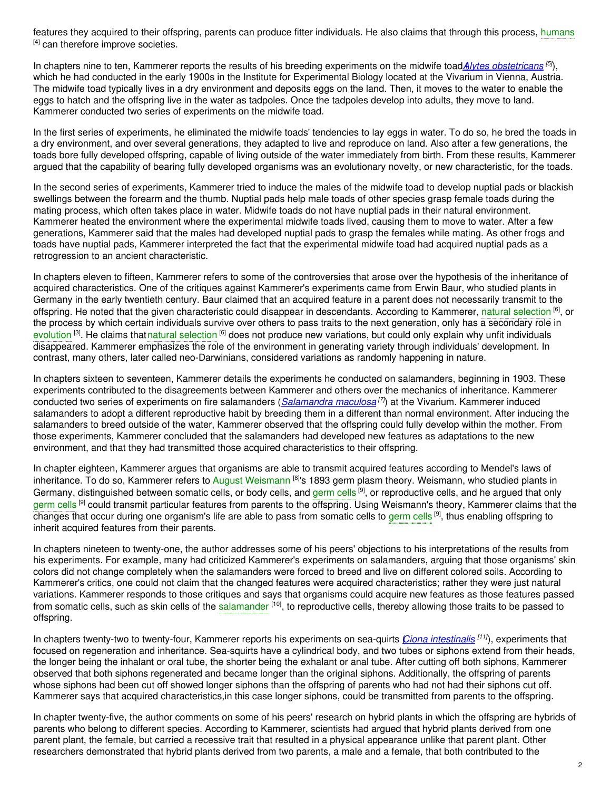features they acquired to their offspring, parents can produce fitter individuals. He also claims that through this process, [humans](https://embryo.asu.edu/search?text=humans) [4] can therefore improve societies.

In chapters nine to ten, Kammerer reports the results of his breeding experiments on the midwife toad*A*(*lytes [obstetricans](http://eol.org/pages/330761/overview) [5]*), which he had conducted in the early 1900s in the Institute for Experimental Biology located at the Vivarium in Vienna, Austria. The midwife toad typically lives in a dry environment and deposits eggs on the land. Then, it moves to the water to enable the eggs to hatch and the offspring live in the water as tadpoles. Once the tadpoles develop into adults, they move to land. Kammerer conducted two series of experiments on the midwife toad.

In the first series of experiments, he eliminated the midwife toads' tendencies to lay eggs in water. To do so, he bred the toads in a dry environment, and over several generations, they adapted to live and reproduce on land. Also after a few generations, the toads bore fully developed offspring, capable of living outside of the water immediately from birth. From these results, Kammerer argued that the capability of bearing fully developed organisms was an evolutionary novelty, or new characteristic, for the toads.

In the second series of experiments, Kammerer tried to induce the males of the midwife toad to develop nuptial pads or blackish swellings between the forearm and the thumb. Nuptial pads help male toads of other species grasp female toads during the mating process, which often takes place in water. Midwife toads do not have nuptial pads in their natural environment. Kammerer heated the environment where the experimental midwife toads lived, causing them to move to water. After a few generations, Kammerer said that the males had developed nuptial pads to grasp the females while mating. As other frogs and toads have nuptial pads, Kammerer interpreted the fact that the experimental midwife toad had acquired nuptial pads as a retrogression to an ancient characteristic.

In chapters eleven to fifteen, Kammerer refers to some of the controversies that arose over the hypothesis of the inheritance of acquired characteristics. One of the critiques against Kammerer's experiments came from Erwin Baur, who studied plants in Germany in the early twentieth century. Baur claimed that an acquired feature in a parent does not necessarily transmit to the offspring. He noted that the given characteristic could disappear in descendants. According to Kammerer, natural [selection](https://embryo.asu.edu/search?text=natural%20selection) <sup>[6]</sup>, or the process by which certain individuals survive over others to pass traits to the next generation, only has a secondary role in [evolution](https://embryo.asu.edu/search?text=evolution) <sup>[3]</sup>. He claims thatnatural [selection](https://embryo.asu.edu/search?text=natural%20selection) <sup>[6]</sup> does not produce new variations, but could only explain why unfit individuals disappeared. Kammerer emphasizes the role of the environment in generating variety through individuals' development. In contrast, many others, later called neo-Darwinians, considered variations as randomly happening in nature.

In chapters sixteen to seventeen, Kammerer details the experiments he conducted on salamanders, beginning in 1903. These experiments contributed to the disagreements between Kammerer and others over the mechanics of inheritance. Kammerer conducted two series of experiments on fire salamanders (*[Salamandra](http://eol.org/pages/333311/overview) maculosa [7]*) at the Vivarium. Kammerer induced salamanders to adopt a different reproductive habit by breeding them in a different than normal environment. After inducing the salamanders to breed outside of the water, Kammerer observed that the offspring could fully develop within the mother. From those experiments, Kammerer concluded that the salamanders had developed new features as adaptations to the new environment, and that they had transmitted those acquired characteristics to their offspring.

In chapter eighteen, Kammerer argues that organisms are able to transmit acquired features according to Mendel's laws of inheritance. To do so, Kammerer refers to August [Weismann](https://embryo.asu.edu/search?text=August%20Weismann) <sup>[8]</sup>'s 1893 germ plasm theory. Weismann, who studied plants in Germany, distinguished between somatic cells, or body cells, and [germ](https://embryo.asu.edu/search?text=germ%20cells) cells <sup>[9]</sup>, or reproductive cells, and he argued that only [germ](https://embryo.asu.edu/search?text=germ%20cells) cells <sup>[9]</sup> could transmit particular features from parents to the offspring. Using Weismann's theory, Kammerer claims that the changes that occur during one organism's life are able to pass from somatic cells to [germ](https://embryo.asu.edu/search?text=germ%20cells) cells <sup>[9]</sup>, thus enabling offspring to inherit acquired features from their parents.

In chapters nineteen to twenty-one, the author addresses some of his peers' objections to his interpretations of the results from his experiments. For example, many had criticized Kammerer's experiments on salamanders, arguing that those organisms' skin colors did not change completely when the salamanders were forced to breed and live on different colored soils. According to Kammerer's critics, one could not claim that the changed features were acquired characteristics; rather they were just natural variations. Kammerer responds to those critiques and says that organisms could acquire new features as those features passed from somatic cells, such as skin cells of the [salamander](https://embryo.asu.edu/search?text=salamander) <sup>[10]</sup>, to reproductive cells, thereby allowing those traits to be passed to offspring.

In chapters twenty-two to twenty-four, Kammerer reports his experiments on sea-quirts (*Ciona [intestinalis](http://eol.org/pages/512629/overview) [11]*), experiments that focused on regeneration and inheritance. Sea-squirts have a cylindrical body, and two tubes or siphons extend from their heads, the longer being the inhalant or oral tube, the shorter being the exhalant or anal tube. After cutting off both siphons, Kammerer observed that both siphons regenerated and became longer than the original siphons. Additionally, the offspring of parents whose siphons had been cut off showed longer siphons than the offspring of parents who had not had their siphons cut off. Kammerer says that acquired characteristics,in this case longer siphons, could be transmitted from parents to the offspring.

In chapter twenty-five, the author comments on some of his peers' research on hybrid plants in which the offspring are hybrids of parents who belong to different species. According to Kammerer, scientists had argued that hybrid plants derived from one parent plant, the female, but carried a recessive trait that resulted in a physical appearance unlike that parent plant. Other researchers demonstrated that hybrid plants derived from two parents, a male and a female, that both contributed to the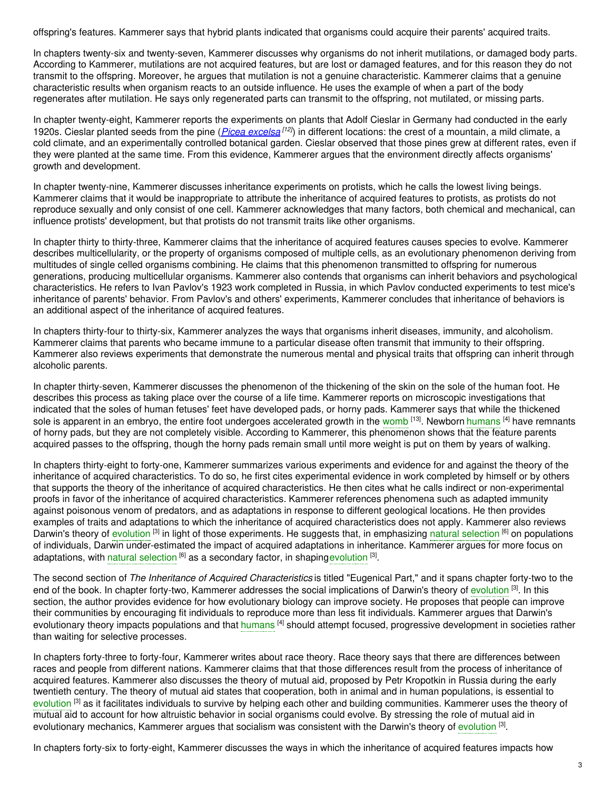offspring's features. Kammerer says that hybrid plants indicated that organisms could acquire their parents' acquired traits.

In chapters twenty-six and twenty-seven, Kammerer discusses why organisms do not inherit mutilations, or damaged body parts. According to Kammerer, mutilations are not acquired features, but are lost or damaged features, and for this reason they do not transmit to the offspring. Moreover, he argues that mutilation is not a genuine characteristic. Kammerer claims that a genuine characteristic results when organism reacts to an outside influence. He uses the example of when a part of the body regenerates after mutilation. He says only regenerated parts can transmit to the offspring, not mutilated, or missing parts.

In chapter twenty-eight, Kammerer reports the experiments on plants that Adolf Cieslar in Germany had conducted in the early 1920s. Cieslar planted seeds from the pine (*Picea [excelsa](http://eol.org/pages/14029/overview) [12]*) in different locations: the crest of a mountain, a mild climate, a cold climate, and an experimentally controlled botanical garden. Cieslar observed that those pines grew at different rates, even if they were planted at the same time. From this evidence, Kammerer argues that the environment directly affects organisms' growth and development.

In chapter twenty-nine, Kammerer discusses inheritance experiments on protists, which he calls the lowest living beings. Kammerer claims that it would be inappropriate to attribute the inheritance of acquired features to protists, as protists do not reproduce sexually and only consist of one cell. Kammerer acknowledges that many factors, both chemical and mechanical, can influence protists' development, but that protists do not transmit traits like other organisms.

In chapter thirty to thirty-three, Kammerer claims that the inheritance of acquired features causes species to evolve. Kammerer describes multicellularity, or the property of organisms composed of multiple cells, as an evolutionary phenomenon deriving from multitudes of single celled organisms combining. He claims that this phenomenon transmitted to offspring for numerous generations, producing multicellular organisms. Kammerer also contends that organisms can inherit behaviors and psychological characteristics. He refers to Ivan Pavlov's 1923 work completed in Russia, in which Pavlov conducted experiments to test mice's inheritance of parents' behavior. From Pavlov's and others' experiments, Kammerer concludes that inheritance of behaviors is an additional aspect of the inheritance of acquired features.

In chapters thirty-four to thirty-six, Kammerer analyzes the ways that organisms inherit diseases, immunity, and alcoholism. Kammerer claims that parents who became immune to a particular disease often transmit that immunity to their offspring. Kammerer also reviews experiments that demonstrate the numerous mental and physical traits that offspring can inherit through alcoholic parents.

In chapter thirty-seven, Kammerer discusses the phenomenon of the thickening of the skin on the sole of the human foot. He describes this process as taking place over the course of a life time. Kammerer reports on microscopic investigations that indicated that the soles of human fetuses' feet have developed pads, or horny pads. Kammerer says that while the thickened sole is apparent in an embryo, the entire foot undergoes accelerated growth in the [womb](https://embryo.asu.edu/search?text=womb) <sup>[13]</sup>. Newborn [humans](https://embryo.asu.edu/search?text=humans) <sup>[4]</sup> have remnants of horny pads, but they are not completely visible. According to Kammerer, this phenomenon shows that the feature parents acquired passes to the offspring, though the horny pads remain small until more weight is put on them by years of walking.

In chapters thirty-eight to forty-one, Kammerer summarizes various experiments and evidence for and against the theory of the inheritance of acquired characteristics. To do so, he first cites experimental evidence in work completed by himself or by others that supports the theory of the inheritance of acquired characteristics. He then cites what he calls indirect or non-experimental proofs in favor of the inheritance of acquired characteristics. Kammerer references phenomena such as adapted immunity against poisonous venom of predators, and as adaptations in response to different geological locations. He then provides examples of traits and adaptations to which the inheritance of acquired characteristics does not apply. Kammerer also reviews Darwin's theory of [evolution](https://embryo.asu.edu/search?text=evolution) <sup>[3]</sup> in light of those experiments. He suggests that, in emphasizing natural [selection](https://embryo.asu.edu/search?text=natural%20selection) <sup>[6]</sup> on populations of individuals, Darwin under-estimated the impact of acquired adaptations in inheritance. Kammerer argues for more focus on adaptations, with natural [selection](https://embryo.asu.edu/search?text=natural%20selection) <sup>[6]</sup> as a secondary factor, in shaping[evolution](https://embryo.asu.edu/search?text=evolution) <sup>[3]</sup>.

The second section of *The Inheritance of Acquired Characteristics* is titled "Eugenical Part," and it spans chapter forty-two to the end of the book. In chapter forty-two, Kammerer addresses the social implications of Darwin's theory of [evolution](https://embryo.asu.edu/search?text=evolution) <sup>[3]</sup>. In this section, the author provides evidence for how evolutionary biology can improve society. He proposes that people can improve their communities by encouraging fit individuals to reproduce more than less fit individuals. Kammerer argues that Darwin's evolutionary theory impacts populations and that [humans](https://embryo.asu.edu/search?text=humans) <sup>[4]</sup> should attempt focused, progressive development in societies rather than waiting for selective processes.

In chapters forty-three to forty-four, Kammerer writes about race theory. Race theory says that there are differences between races and people from different nations. Kammerer claims that that those differences result from the process of inheritance of acquired features. Kammerer also discusses the theory of mutual aid, proposed by Petr Kropotkin in Russia during the early twentieth century. The theory of mutual aid states that cooperation, both in animal and in human populations, is essential to [evolution](https://embryo.asu.edu/search?text=evolution) <sup>[3]</sup> as it facilitates individuals to survive by helping each other and building communities. Kammerer uses the theory of mutual aid to account for how altruistic behavior in social organisms could evolve. By stressing the role of mutual aid in [evolution](https://embryo.asu.edu/search?text=evolution)ary mechanics, Kammerer argues that socialism was consistent with the Darwin's theory of evolution <sup>[3]</sup>.

In chapters forty-six to forty-eight, Kammerer discusses the ways in which the inheritance of acquired features impacts how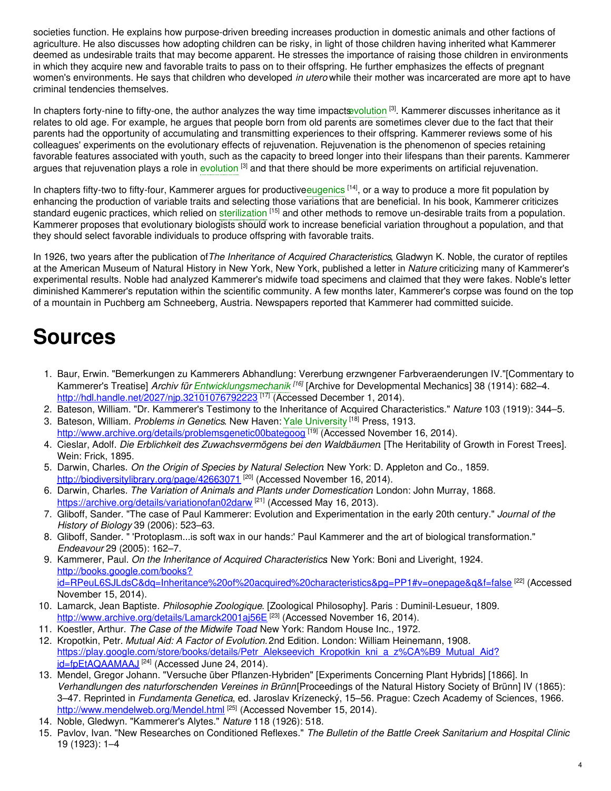societies function. He explains how purpose-driven breeding increases production in domestic animals and other factions of agriculture. He also discusses how adopting children can be risky, in light of those children having inherited what Kammerer deemed as undesirable traits that may become apparent. He stresses the importance of raising those children in environments in which they acquire new and favorable traits to pass on to their offspring. He further emphasizes the effects of pregnant women's environments. He says that children who developed *in utero* while their mother was incarcerated are more apt to have criminal tendencies themselves.

In chapters forty-nine to fifty-one, the author analyzes the way time impacts volution [3]. Kammerer discusses inheritance as it relates to old age. For example, he argues that people born from old parents are sometimes clever due to the fact that their parents had the opportunity of accumulating and transmitting experiences to their offspring. Kammerer reviews some of his colleagues' experiments on the evolutionary effects of rejuvenation. Rejuvenation is the phenomenon of species retaining favorable features associated with youth, such as the capacity to breed longer into their lifespans than their parents. Kammerer argues that rejuvenation plays a role in [evolution](https://embryo.asu.edu/search?text=evolution) <sup>[3]</sup> and that there should be more experiments on artificial rejuvenation.

In chapters fifty-two to fifty-four, Kammerer argues for productive[eugenics](https://embryo.asu.edu/search?text=eugenics) <sup>[14]</sup>, or a way to produce a more fit population by enhancing the production of variable traits and selecting those variations that are beneficial. In his book, Kammerer criticizes standard eugenic practices, which relied on [sterilization](https://embryo.asu.edu/search?text=sterilization) <sup>[15]</sup> and other methods to remove un-desirable traits from a population. Kammerer proposes that evolutionary biologists should work to increase beneficial variation throughout a population, and that they should select favorable individuals to produce offspring with favorable traits.

In 1926, two years after the publication of*The Inheritance of Acquired Characteristics*, Gladwyn K. Noble, the curator of reptiles at the American Museum of Natural History in New York, New York, published a letter in *Nature* criticizing many of Kammerer's experimental results. Noble had analyzed Kammerer's midwife toad specimens and claimed that they were fakes. Noble's letter diminished Kammerer's reputation within the scientific community. A few months later, Kammerer's corpse was found on the top of a mountain in Puchberg am Schneeberg, Austria. Newspapers reported that Kammerer had committed suicide.

## **Sources**

- 1. Baur, Erwin. "Bemerkungen zu Kammerers Abhandlung: Vererbung erzwngener Farbveraenderungen IV."[Commentary to Kammerer's Treatise] *Archiv für [Entwicklungsmechanik](https://embryo.asu.edu/search?text=Entwicklungsmechanik) [16]* [Archive for Developmental Mechanics] 38 (1914): 682–4. <http://hdl.handle.net/2027/njp.32101076792223> [<sup>17]</sup> (Accessed December 1, 2014).
- 2. Bateson, William. "Dr. Kammerer's Testimony to the Inheritance of Acquired Characteristics." *Nature* 103 (1919): 344–5. 3. Bateson, William. *Problems in Genetics*. New Haven: Yale [University](https://embryo.asu.edu/search?text=Yale%20University) [18] Press, 1913.
- <http://www.archive.org/details/problemsgenetic00bategoog> [19] (Accessed November 16, 2014).
- 4. Cieslar, Adolf. *Die Erblichkeit des Zuwachsvermögens bei den Waldbäumen*. [The Heritability of Growth in Forest Trees]. Wein: Frick, 1895.
- 5. Darwin, Charles. *On the Origin of Species by Natural Selection*. New York: D. Appleton and Co., 1859. <http://biodiversitylibrary.org/page/42663071><sup>[20]</sup> (Accessed November 16, 2014).
- 6. Darwin, Charles. *The Variation of Animals and Plants under Domestication*. London: John Murray, 1868. <https://archive.org/details/variationofan02darw><sup>[21]</sup> (Accessed May 16, 2013).
- 7. Gliboff, Sander. "The case of Paul Kammerer: Evolution and Experimentation in the early 20th century." *Journal of the History of Biology* 39 (2006): 523–63.
- 8. Gliboff, Sander. " 'Protoplasm...is soft wax in our hands:' Paul Kammerer and the art of biological transformation." *Endeavour* 29 (2005): 162–7.
- 9. Kammerer, Paul. *On the Inheritance of Acquired Characteristics*. New York: Boni and Liveright, 1924. http://books.google.com/books? [id=RPeuL6SJLdsC&dq=Inheritance%20of%20acquired%20characteristics&pg=PP1#v=onepage&q&f=false](http://books.google.com/books?id=RPeuL6SJLdsC&dq=Inheritance%20of%20acquired%20characteristics&pg=PP1#v=onepage&q&f=false) [22] (Accessed November 15, 2014).
- 10. Lamarck, Jean Baptiste. *Philosophie Zoologique*. [Zoological Philosophy]. Paris : Duminil-Lesueur, 1809. <http://www.archive.org/details/Lamarck2001aj56E> [23] (Accessed November 16, 2014).
- 11. Koestler, Arthur. *The Case of the Midwife Toad*. New York: Random House Inc., 1972.
- 12. Kropotkin, Petr. *Mutual Aid: A Factor of Evolution.* 2nd Edition. London: William Heinemann, 1908. [https://play.google.com/store/books/details/Petr\\_Alekseevich\\_Kropotkin\\_kni\\_a\\_z%CA%B9\\_Mutual\\_Aid?](https://play.google.com/store/books/details/Petr_Alekseevich_Kropotkin_kni_a_z%25CA%25B9_Mutual_Aid?id=fpEtAQAAMAAJ) <u>id=fpEtAQAAMAAJ <sup>[24]</sup></u> (Accessed June 24, 2014).
- 13. Mendel, Gregor Johann. "Versuche über Pflanzen-Hybriden" [Experiments Concerning Plant Hybrids] [1866]. In *Verhandlungen des naturforschenden Vereines in Brünn*[Proceedings of the Natural History Society of Brünn] IV (1865): 3–47. Reprinted in *Fundamenta Genetica*, ed. Jaroslav Krízenecký, 15–56. Prague: Czech Academy of Sciences, 1966. <http://www.mendelweb.org/Mendel.html> <sup>[25]</sup> (Accessed November 15, 2014).
- 14. Noble, Gledwyn. "Kammerer's Alytes." *Nature* 118 (1926): 518.
- 15. Pavlov, Ivan. "New Researches on Conditioned Reflexes." *The Bulletin of the Battle Creek Sanitarium and Hospital Clinic* 19 (1923): 1–4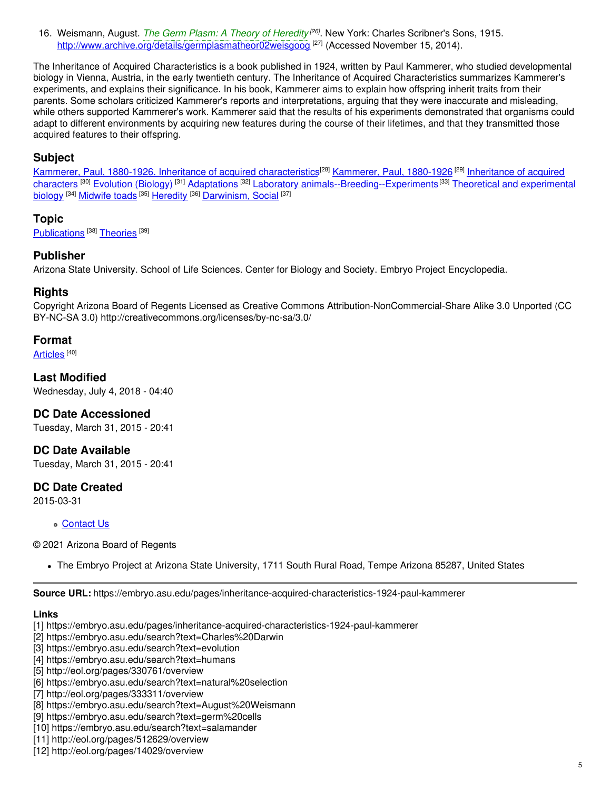16. Weismann, August. *The Germ Plasm: A Theory of [Heredity](https://embryo.asu.edu/search?text=The%20Germ%20Plasm%253A%20A%20Theory%20of%20Heredity) [26]* . New York: Charles Scribner's Sons, 1915. <http://www.archive.org/details/germplasmatheor02weisgoog><sup>[27]</sup> (Accessed November 15, 2014).

The Inheritance of Acquired Characteristics is a book published in 1924, written by Paul Kammerer, who studied developmental biology in Vienna, Austria, in the early twentieth century. The Inheritance of Acquired Characteristics summarizes Kammerer's experiments, and explains their significance. In his book, Kammerer aims to explain how offspring inherit traits from their parents. Some scholars criticized Kammerer's reports and interpretations, arguing that they were inaccurate and misleading, while others supported Kammerer's work. Kammerer said that the results of his experiments demonstrated that organisms could adapt to different environments by acquiring new features during the course of their lifetimes, and that they transmitted those acquired features to their offspring.

### **Subject**

Kammerer, Paul, 1880-1926. Inheritance of acquired [characteristics](https://embryo.asu.edu/library-congress-subject-headings/kammerer-paul-1880-1926-inheritance-acquired-characteristics)<sup>[28]</sup> [Kammerer,](https://embryo.asu.edu/library-congress-subject-headings/kammerer-paul-1880-1926) Paul, 1880-1926<sup>[29]</sup> Inheritance of acquired characters <sup>[30]</sup> [Evolution](https://embryo.asu.edu/library-congress-subject-headings/evolution-biology) (Biology) <sup>[31]</sup> [Adaptations](https://embryo.asu.edu/library-congress-subject-headings/adaptations) <sup>[32]</sup> Laboratory [animals--Breeding--Experiments](https://embryo.asu.edu/library-congress-subject-headings/theoretical-and-experimental-biology) <sup>[33]</sup> Theoretical and experimental biology <sup>[34]</sup> [Midwife](https://embryo.asu.edu/library-congress-subject-headings/midwife-toads) toads <sup>[35]</sup> [Heredity](https://embryo.asu.edu/library-congress-subject-headings/heredity) <sup>[36]</sup> [Darwinism,](https://embryo.asu.edu/library-congress-subject-headings/darwinism-social) Social <sup>[37]</sup>

#### **Topic**

[Publications](https://embryo.asu.edu/topics/publications)<sup>[38]</sup> [Theories](https://embryo.asu.edu/topics/theories)<sup>[39]</sup>

#### **Publisher**

Arizona State University. School of Life Sciences. Center for Biology and Society. Embryo Project Encyclopedia.

#### **Rights**

Copyright Arizona Board of Regents Licensed as Creative Commons Attribution-NonCommercial-Share Alike 3.0 Unported (CC BY-NC-SA 3.0) http://creativecommons.org/licenses/by-nc-sa/3.0/

#### **Format**

[Articles](https://embryo.asu.edu/formats/articles) <sup>[40]</sup>

**Last Modified** Wednesday, July 4, 2018 - 04:40

#### **DC Date Accessioned**

Tuesday, March 31, 2015 - 20:41

**DC Date Available**

Tuesday, March 31, 2015 - 20:41

#### **DC Date Created**

2015-03-31

**[Contact](https://embryo.asu.edu/contact) Us** 

© 2021 Arizona Board of Regents

The Embryo Project at Arizona State University, 1711 South Rural Road, Tempe Arizona 85287, United States

**Source URL:** https://embryo.asu.edu/pages/inheritance-acquired-characteristics-1924-paul-kammerer

#### **Links**

- [1] https://embryo.asu.edu/pages/inheritance-acquired-characteristics-1924-paul-kammerer
- [2] https://embryo.asu.edu/search?text=Charles%20Darwin
- [3] https://embryo.asu.edu/search?text=evolution
- [4] https://embryo.asu.edu/search?text=humans
- [5] http://eol.org/pages/330761/overview
- [6] https://embryo.asu.edu/search?text=natural%20selection
- [7] http://eol.org/pages/333311/overview
- [8] https://embryo.asu.edu/search?text=August%20Weismann
- [9] https://embryo.asu.edu/search?text=germ%20cells
- [10] https://embryo.asu.edu/search?text=salamander
- [11] http://eol.org/pages/512629/overview
- [12] http://eol.org/pages/14029/overview